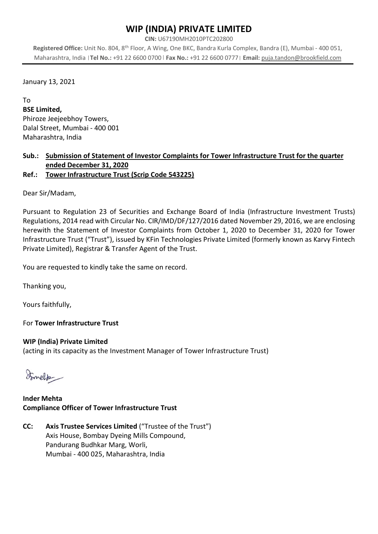## WIP (INDIA) PRIVATE LIMITED

CIN: U67190MH2010PTC202800

Registered Office: Unit No. 804, 8th Floor, A Wing, One BKC, Bandra Kurla Complex, Bandra (E), Mumbai - 400 051, Maharashtra, India | Tel No.: +91 22 6600 0700 | Fax No.: +91 22 6600 0777 | Email: puja.tandon@brookfield.com

January 13, 2021

To BSE Limited, Phiroze Jeejeebhoy Towers, Dalal Street, Mumbai - 400 001

Maharashtra, India

### Sub.: Submission of Statement of Investor Complaints for Tower Infrastructure Trust for the quarter ended December 31, 2020

Ref.: Tower Infrastructure Trust (Scrip Code 543225)

Dear Sir/Madam,

Pursuant to Regulation 23 of Securities and Exchange Board of India (Infrastructure Investment Trusts) Regulations, 2014 read with Circular No. CIR/IMD/DF/127/2016 dated November 29, 2016, we are enclosing herewith the Statement of Investor Complaints from October 1, 2020 to December 31, 2020 for Tower Infrastructure Trust ("Trust"), issued by KFin Technologies Private Limited (formerly known as Karvy Fintech Private Limited), Registrar & Transfer Agent of the Trust.

You are requested to kindly take the same on record.

Thanking you,

Yours faithfully,

For Tower Infrastructure Trust

#### WIP (India) Private Limited

(acting in its capacity as the Investment Manager of Tower Infrastructure Trust)

Somelitz

#### Inder Mehta Compliance Officer of Tower Infrastructure Trust

CC: Axis Trustee Services Limited ("Trustee of the Trust") Axis House, Bombay Dyeing Mills Compound, Pandurang Budhkar Marg, Worli, Mumbai - 400 025, Maharashtra, India